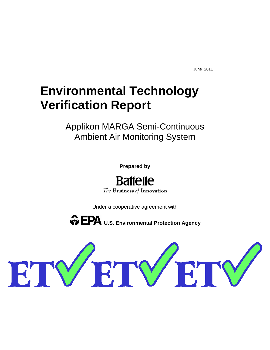June 2011

# **Environmental Technology Verification Report**

Applikon MARGA Semi-Continuous Ambient Air Monitoring System

**Prepared by**

**Battelle** The Business of Innovation

Under a cooperative agreement with

 $\mathbf{EPA}$  U.S. Environmental Protection Agency

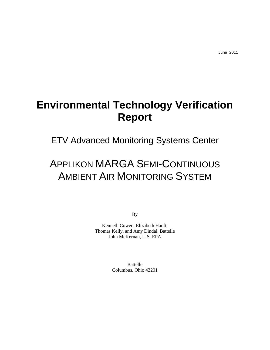# **Environmental Technology Verification Report**

ETV Advanced Monitoring Systems Center

# APPLIKON MARGA SEMI-CONTINUOUS AMBIENT AIR MONITORING SYSTEM

By

Kenneth Cowen, Elizabeth Hanft, Thomas Kelly, and Amy Dindal, Battelle John McKernan, U.S. EPA

> Battelle Columbus, Ohio 43201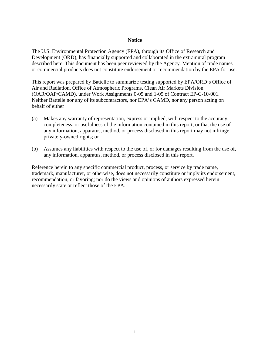#### **Notice**

<span id="page-2-0"></span>The U.S. Environmental Protection Agency (EPA), through its Office of Research and Development (ORD), has financially supported and collaborated in the extramural program described here. This document has been peer reviewed by the Agency. Mention of trade names or commercial products does not constitute endorsement or recommendation by the EPA for use.

This report was prepared by Battelle to summarize testing supported by EPA/ORD's Office of Air and Radiation, Office of Atmospheric Programs, Clean Air Markets Division (OAR/OAP/CAMD), under Work Assignments 0-05 and 1-05 of Contract EP-C-10-001. Neither Battelle nor any of its subcontractors, nor EPA's CAMD, nor any person acting on behalf of either

- (a) Makes any warranty of representation, express or implied, with respect to the accuracy, completeness, or usefulness of the information contained in this report, or that the use of any information, apparatus, method, or process disclosed in this report may not infringe privately-owned rights; or
- (b) Assumes any liabilities with respect to the use of, or for damages resulting from the use of, any information, apparatus, method, or process disclosed in this report.

Reference herein to any specific commercial product, process, or service by trade name, trademark, manufacturer, or otherwise, does not necessarily constitute or imply its endorsement, recommendation, or favoring; nor do the views and opinions of authors expressed herein necessarily state or reflect those of the EPA.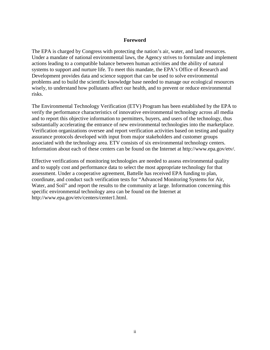#### **Foreword**

<span id="page-3-0"></span>The EPA is charged by Congress with protecting the nation's air, water, and land resources. Under a mandate of national environmental laws, the Agency strives to formulate and implement actions leading to a compatible balance between human activities and the ability of natural systems to support and nurture life. To meet this mandate, the EPA's Office of Research and Development provides data and science support that can be used to solve environmental problems and to build the scientific knowledge base needed to manage our ecological resources wisely, to understand how pollutants affect our health, and to prevent or reduce environmental risks.

The Environmental Technology Verification (ETV) Program has been established by the EPA to verify the performance characteristics of innovative environmental technology across all media and to report this objective information to permitters, buyers, and users of the technology, thus substantially accelerating the entrance of new environmental technologies into the marketplace. Verification organizations oversee and report verification activities based on testing and quality assurance protocols developed with input from major stakeholders and customer groups associated with the technology area. ETV consists of six environmental technology centers. Information about each of these centers can be found on the Internet at http://www.epa.gov/etv/.

Effective verifications of monitoring technologies are needed to assess environmental quality and to supply cost and performance data to select the most appropriate technology for that assessment. Under a cooperative agreement, Battelle has received EPA funding to plan, coordinate, and conduct such verification tests for "Advanced Monitoring Systems for Air, Water, and Soil" and report the results to the community at large. Information concerning this specific environmental technology area can be found on the Internet at http://www.epa.gov/etv/centers/center1.html.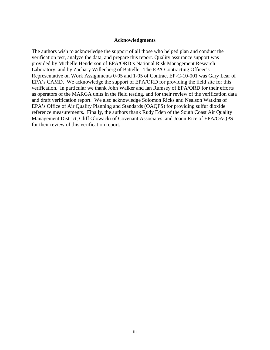#### **Acknowledgments**

<span id="page-4-0"></span>The authors wish to acknowledge the support of all those who helped plan and conduct the verification test, analyze the data, and prepare this report. Quality assurance support was provided by Michelle Henderson of EPA/ORD's National Risk Management Research Laboratory, and by Zachary Willenberg of Battelle. The EPA Contracting Officer's Representative on Work Assignments 0-05 and 1-05 of Contract EP-C-10-001 was Gary Lear of EPA's CAMD. We acknowledge the support of EPA/ORD for providing the field site for this verification. In particular we thank John Walker and Ian Rumsey of EPA/ORD for their efforts as operators of the MARGA units in the field testing, and for their review of the verification data and draft verification report. We also acknowledge Solomon Ricks and Nealson Watkins of EPA's Office of Air Quality Planning and Standards (OAQPS) for providing sulfur dioxide reference measurements. Finally, the authors thank Rudy Eden of the South Coast Air Quality Management District, Cliff Glowacki of Covenant Associates, and Joann Rice of EPA/OAQPS for their review of this verification report.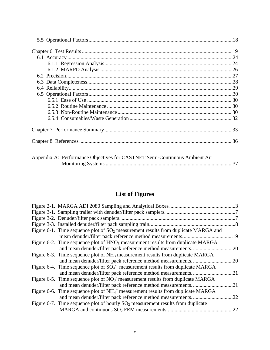| Appendix A: Performance Objectives for CASTNET Semi-Continuous Ambient Air |  |
|----------------------------------------------------------------------------|--|

| Appendix A: Performance Objectives for CASTNET Semi-Continuous Ambient Air |  |
|----------------------------------------------------------------------------|--|
|                                                                            |  |

# **List of Figures**

<span id="page-6-0"></span>

| Figure 6-1. Time sequence plot of $SO_2$ measurement results from duplicate MARGA and       |     |
|---------------------------------------------------------------------------------------------|-----|
|                                                                                             |     |
| Figure 6-2. Time sequence plot of HNO <sub>3</sub> measurement results from duplicate MARGA |     |
|                                                                                             |     |
| Figure 6-3. Time sequence plot of $NH_3$ measurement results from duplicate MARGA           |     |
|                                                                                             |     |
| Figure 6-4. Time sequence plot of $SO_4^2$ measurement results from duplicate MARGA         |     |
|                                                                                             |     |
| Figure 6-5. Time sequence plot of $NO_3^-$ measurement results from duplicate MARGA         |     |
| and mean denuder/filter pack reference method measurements                                  | .21 |
| Figure 6-6. Time sequence plot of $NH_4^+$ measurement results from duplicate MARGA         |     |
|                                                                                             | .22 |
| Figure 6-7. Time sequence plot of hourly $SO2$ measurement results from duplicate           |     |
|                                                                                             | .22 |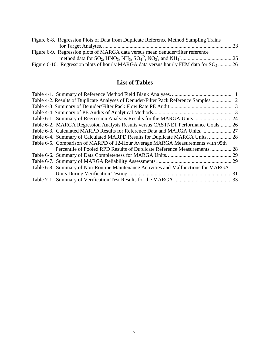| Figure 6-8. Regression Plots of Data from Duplicate Reference Method Sampling Trains             |  |
|--------------------------------------------------------------------------------------------------|--|
|                                                                                                  |  |
| Figure 6-9. Regression plots of MARGA data versus mean denuder/filter reference                  |  |
|                                                                                                  |  |
| Figure 6-10. Regression plots of hourly MARGA data versus hourly FEM data for SO <sub>2</sub> 26 |  |

# **List of Tables**

<span id="page-7-0"></span>

| Table 4-2. Results of Duplicate Analyses of Denuder/Filter Pack Reference Samples  12 |  |
|---------------------------------------------------------------------------------------|--|
|                                                                                       |  |
|                                                                                       |  |
| Table 6-1. Summary of Regression Analysis Results for the MARGA Units 24              |  |
| Table 6-2. MARGA Regression Analysis Results versus CASTNET Performance Goals 26      |  |
| Table 6-3. Calculated MARPD Results for Reference Data and MARGA Units.  27           |  |
| Table 6-4. Summary of Calculated MARPD Results for Duplicate MARGA Units.  28         |  |
| Table 6-5. Comparison of MARPD of 12-Hour Average MARGA Measurements with 95th        |  |
| Percentile of Pooled RPD Results of Duplicate Reference Measurements.  28             |  |
|                                                                                       |  |
|                                                                                       |  |
| Table 6-8. Summary of Non-Routine Maintenance Activities and Malfunctions for MARGA   |  |
|                                                                                       |  |
|                                                                                       |  |
|                                                                                       |  |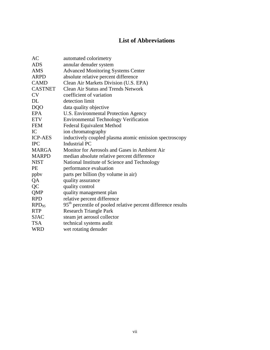# **List of Abbreviations**

<span id="page-8-0"></span>

| AC             | automated colorimetry                                                     |
|----------------|---------------------------------------------------------------------------|
| <b>ADS</b>     | annular denuder system                                                    |
| <b>AMS</b>     | <b>Advanced Monitoring Systems Center</b>                                 |
| <b>ARPD</b>    | absolute relative percent difference                                      |
| <b>CAMD</b>    | Clean Air Markets Division (U.S. EPA)                                     |
| <b>CASTNET</b> | <b>Clean Air Status and Trends Network</b>                                |
| <b>CV</b>      | coefficient of variation                                                  |
| DL             | detection limit                                                           |
| <b>DQO</b>     | data quality objective                                                    |
| EPA            | U.S. Environmental Protection Agency                                      |
| <b>ETV</b>     | <b>Environmental Technology Verification</b>                              |
| <b>FEM</b>     | <b>Federal Equivalent Method</b>                                          |
| IC             | ion chromatography                                                        |
| <b>ICP-AES</b> | inductively coupled plasma atomic emission spectroscopy                   |
| <b>IPC</b>     | <b>Industrial PC</b>                                                      |
| <b>MARGA</b>   | Monitor for Aerosols and Gases in Ambient Air                             |
| <b>MARPD</b>   | median absolute relative percent difference                               |
| <b>NIST</b>    | National Institute of Science and Technology                              |
| <b>PE</b>      | performance evaluation                                                    |
| ppby           | parts per billion (by volume in air)                                      |
| QA             | quality assurance                                                         |
| QC             | quality control                                                           |
| <b>QMP</b>     | quality management plan                                                   |
| <b>RPD</b>     | relative percent difference                                               |
| $RPD_{95}$     | 95 <sup>th</sup> percentile of pooled relative percent difference results |
| <b>RTP</b>     | <b>Research Triangle Park</b>                                             |
| <b>SJAC</b>    | steam jet aerosol collector                                               |
| <b>TSA</b>     | technical systems audit                                                   |
| <b>WRD</b>     | wet rotating denuder                                                      |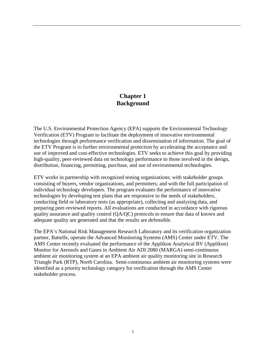## **Chapter 1 Background**

<span id="page-9-0"></span>The U.S. Environmental Protection Agency (EPA) supports the Environmental Technology Verification (ETV) Program to facilitate the deployment of innovative environmental technologies through performance verification and dissemination of information. The goal of the ETV Program is to further environmental protection by accelerating the acceptance and use of improved and cost-effective technologies. ETV seeks to achieve this goal by providing high-quality, peer-reviewed data on technology performance to those involved in the design, distribution, financing, permitting, purchase, and use of environmental technologies.

ETV works in partnership with recognized testing organizations; with stakeholder groups consisting of buyers, vendor organizations, and permitters; and with the full participation of individual technology developers. The program evaluates the performance of innovative technologies by developing test plans that are responsive to the needs of stakeholders, conducting field or laboratory tests (as appropriate), collecting and analyzing data, and preparing peer-reviewed reports. All evaluations are conducted in accordance with rigorous quality assurance and quality control (QA/QC) protocols to ensure that data of known and adequate quality are generated and that the results are defensible.

The EPA's National Risk Management Research Laboratory and its verification organization partner, Battelle, operate the Advanced Monitoring Systems (AMS) Center under ETV. The AMS Center recently evaluated the performance of the Applikon Analytical BV (Applikon) Monitor for Aerosols and Gases in Ambient Air ADI 2080 (MARGA) semi-continuous ambient air monitoring system at an EPA ambient air quality monitoring site in Research Triangle Park (RTP), North Carolina. Semi-continuous ambient air monitoring systems were identified as a priority technology category for verification through the AMS Center stakeholder process.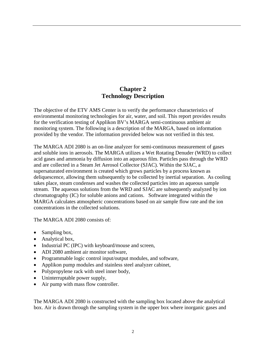# **Chapter 2 Technology Description**

<span id="page-10-0"></span>The objective of the ETV AMS Center is to verify the performance characteristics of environmental monitoring technologies for air, water, and soil. This report provides results for the verification testing of Applikon BV's MARGA semi-continuous ambient air monitoring system. The following is a description of the MARGA, based on information provided by the vendor. The information provided below was not verified in this test.

The MARGA ADI 2080 is an on-line analyzer for semi-continuous measurement of gases and soluble ions in aerosols. The MARGA utilizes a Wet Rotating Denuder (WRD) to collect acid gases and ammonia by diffusion into an aqueous film. Particles pass through the WRD and are collected in a Steam Jet Aerosol Collector (SJAC). Within the SJAC, a supersaturated environment is created which grows particles by a process known as deliquescence, allowing them subsequently to be collected by inertial separation. As cooling takes place, steam condenses and washes the collected particles into an aqueous sample stream. The aqueous solutions from the WRD and SJAC are subsequently analyzed by ion chromatography (IC) for soluble anions and cations. Software integrated within the MARGA calculates atmospheric concentrations based on air sample flow rate and the ion concentrations in the collected solutions.

The MARGA ADI 2080 consists of:

- Sampling box,
- Analytical box,
- Industrial PC (IPC) with keyboard/mouse and screen,
- ADI 2080 ambient air monitor software.
- Programmable logic control input/output modules, and software,
- Applikon pump modules and stainless steel analyzer cabinet,
- Polypropylene rack with steel inner body,
- Uninterruptable power supply,
- Air pump with mass flow controller.

The MARGA ADI 2080 is constructed with the sampling box located above the analytical box. Air is drawn through the sampling system in the upper box where inorganic gases and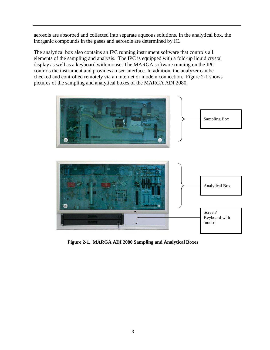aerosols are absorbed and collected into separate aqueous solutions. In the analytical box, the inorganic compounds in the gases and aerosols are determined by IC.

The analytical box also contains an IPC running instrument software that controls all elements of the sampling and analysis. The IPC is equipped with a fold-up liquid crystal display as well as a keyboard with mouse. The MARGA software running on the IPC controls the instrument and provides a user interface. In addition, the analyzer can be checked and controlled remotely via an internet or modem connection. Figure 2-1 shows pictures of the sampling and analytical boxes of the MARGA ADI 2080.



<span id="page-11-0"></span>**Figure 2-1. MARGA ADI 2080 Sampling and Analytical Boxes**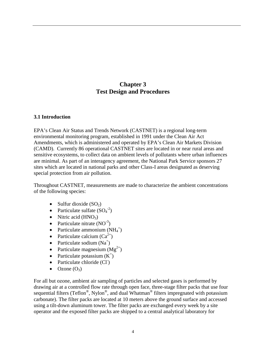# **Chapter 3 Test Design and Procedures**

#### <span id="page-12-1"></span><span id="page-12-0"></span>**3.1 Introduction**

EPA's Clean Air Status and Trends Network (CASTNET) is a regional long-term environmental monitoring program, established in 1991 under the Clean Air Act Amendments, which is administered and operated by EPA's Clean Air Markets Division (CAMD). Currently 86 operational CASTNET sites are located in or near rural areas and sensitive ecosystems, to collect data on ambient levels of pollutants where urban influences are minimal. As part of an interagency agreement, the National Park Service sponsors 27 sites which are located in national parks and other Class-I areas designated as deserving special protection from air pollution.

Throughout CASTNET, measurements are made to characterize the ambient concentrations of the following species:

- Sulfur dioxide  $(SO<sub>2</sub>)$
- Particulate sulfate  $(SO_4^2)$
- Nitric acid  $(HNO<sub>3</sub>)$
- Particulate nitrate  $(NO^{-3})$
- Particulate ammonium  $(NH_4^+)$
- Particulate calcium  $(Ca^{2+})$
- Particulate sodium  $(Na^+)$
- Particulate magnesium  $(Mg^{2+})$
- Particulate potassium  $(K^+)$
- Particulate chloride (Cl<sup>-</sup>)
- Ozone  $(O_3)$

For all but ozone, ambient air sampling of particles and selected gases is performed by drawing air at a controlled flow rate through open face, three-stage filter packs that use four sequential filters (Teflon<sup>®</sup>, Nylon<sup>®</sup>, and dual Whatman<sup>®</sup> filters impregnated with potassium carbonate). The filter packs are located at 10 meters above the ground surface and accessed using a tilt-down aluminum tower. The filter packs are exchanged every week by a site operator and the exposed filter packs are shipped to a central analytical laboratory for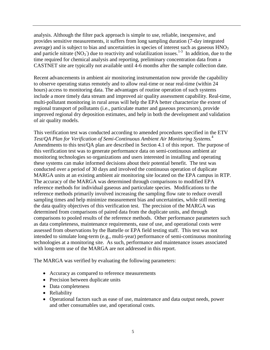analysis. Although the filter pack approach is simple to use, reliable, inexpensive, and provides sensitive measurements, it suffers from long sampling duration (7-day integrated average) and is subject to bias and uncertainties in species of interest such as gaseous  $HNO<sub>3</sub>$ and particle nitrate  $(NO_3^-)$  due to reactivity and volatilization issues.<sup>1-3</sup> In addition, due to the time required for chemical analysis and reporting, preliminary concentration data from a CASTNET site are typically not available until 4-6 months after the sample collection date.

Recent advancements in ambient air monitoring instrumentation now provide the capability to observe operating status remotely and to allow real-time or near real-time (within 24 hours) access to monitoring data. The advantages of routine operation of such systems include a more timely data stream and improved air quality assessment capability. Real-time, multi-pollutant monitoring in rural areas will help the EPA better characterize the extent of regional transport of pollutants (i.e., particulate matter and gaseous precursors), provide improved regional dry deposition estimates, and help in both the development and validation of air quality models.

This verification test was conducted according to amended procedures specified in the ETV *Test/QA Plan for Verification of Semi-Continuous Ambient Air Monitoring Systems.*<sup>4</sup> Amendments to this test/QA plan are described in Section 4.1 of this report. The purpose of this verification test was to generate performance data on semi-continuous ambient air monitoring technologies so organizations and users interested in installing and operating these systems can make informed decisions about their potential benefit. The test was conducted over a period of 30 days and involved the continuous operation of duplicate MARGA units at an existing ambient air monitoring site located on the EPA campus in RTP. The accuracy of the MARGA was determined through comparisons to modified EPA reference methods for individual gaseous and particulate species. Modifications to the reference methods primarily involved increasing the sampling flow rate to reduce overall sampling times and help minimize measurement bias and uncertainties, while still meeting the data quality objectives of this verification test. The precision of the MARGA was determined from comparisons of paired data from the duplicate units, and through comparisons to pooled results of the reference methods. Other performance parameters such as data completeness, maintenance requirements, ease of use, and operational costs were assessed from observations by the Battelle or EPA field testing staff. This test was not intended to simulate long-term (e.g., multi-year) performance of semi-continuous monitoring technologies at a monitoring site. As such, performance and maintenance issues associated with long-term use of the MARGA are not addressed in this report.

The MARGA was verified by evaluating the following parameters:

- Accuracy as compared to reference measurements
- Precision between duplicate units
- Data completeness
- Reliability
- Operational factors such as ease of use, maintenance and data output needs, power and other consumables use, and operational costs.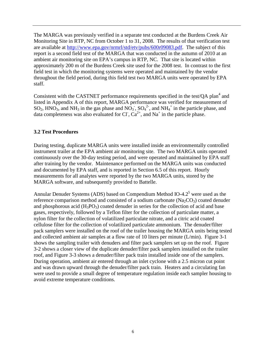The MARGA was previously verified in a separate test conducted at the Burdens Creek Air Monitoring Site in RTP, NC from October 1 to 31, 2008. The results of that verification test are available at [http://www.epa.gov/nrmrl/std/etv/p](http://www.epa.gov/nrmrl/std/etv/)ubs/600r09083.pdf. The subject of this report is a second field test of the MARGA that was conducted in the autumn of 2010 at an ambient air monitoring site on EPA's campus in RTP, NC. That site is located within approximately 200 m of the Burdens Creek site used for the 2008 test. In contrast to the first field test in which the monitoring systems were operated and maintained by the vendor throughout the field period, during this field test two MARGA units were operated by EPA staff.

Consistent with the CASTNET performance requirements specified in the test/QA plan<sup>4</sup> and listed in Appendix A of this report, MARGA performance was verified for measurement of SO<sub>2</sub>, HNO<sub>3</sub>, and NH<sub>3</sub> in the gas phase and NO<sub>3</sub>, SO<sub>4</sub><sup>2</sup>, and NH<sub>4</sub><sup>+</sup> in the particle phase, and data completeness was also evaluated for Cl,  $Ca^{2+}$ , and Na<sup>+</sup> in the particle phase.

#### <span id="page-14-0"></span>**3.2 Test Procedures**

During testing, duplicate MARGA units were installed inside an environmentally controlled instrument trailer at the EPA ambient air monitoring site. The two MARGA units operated continuously over the 30-day testing period, and were operated and maintained by EPA staff after training by the vendor. Maintenance performed on the MARGA units was conducted and documented by EPA staff, and is reported in Section 6.5 of this report. Hourly measurements for all analytes were reported by the two MARGA units, stored by the MARGA software, and subsequently provided to Battelle.

Annular Denuder Systems (ADS) based on Compendium Method IO-4.2<sup>5</sup> were used as the reference comparison method and consisted of a sodium carbonate  $(Na_2CO_3)$  coated denuder and phosphorous acid  $(H_3PO_3)$  coated denuder in series for the collection of acid and base gases, respectively, followed by a Teflon filter for the collection of particulate matter, a nylon filter for the collection of volatilized particulate nitrate, and a citric acid coated cellulose filter for the collection of volatilized particulate ammonium. The denuder/filter pack samplers were installed on the roof of the trailer housing the MARGA units being tested and collected ambient air samples at a flow rate of 10 liters per minute (L/min). Figure 3-1 shows the sampling trailer with denuders and filter pack samplers set up on the roof. Figure 3-2 shows a closer view of the duplicate denuder/filter pack samplers installed on the trailer roof, and Figure 3-3 shows a denuder/filter pack train installed inside one of the samplers. During operation, ambient air entered through an inlet cyclone with a 2.5 micron cut point and was drawn upward through the denuder/filter pack train. Heaters and a circulating fan were used to provide a small degree of temperature regulation inside each sampler housing to avoid extreme temperature conditions.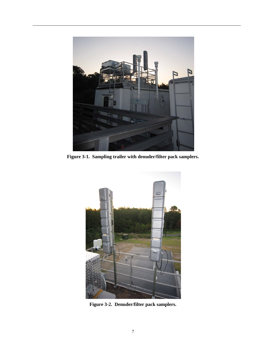

**Figure 3-1. Sampling trailer with denuder/filter pack samplers.**

<span id="page-15-1"></span><span id="page-15-0"></span>

**Figure 3-2. Denuder/filter pack samplers.**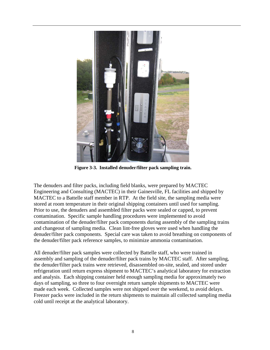

**Figure 3-3. Installed denuder/filter pack sampling train.**

<span id="page-16-0"></span>The denuders and filter packs, including field blanks, were prepared by MACTEC Engineering and Consulting (MACTEC) in their Gainesville, FL facilities and shipped by MACTEC to a Battelle staff member in RTP. At the field site, the sampling media were stored at room temperature in their original shipping containers until used for sampling. Prior to use, the denuders and assembled filter packs were sealed or capped, to prevent contamination. Specific sample handling procedures were implemented to avoid contamination of the denuder/filter pack components during assembly of the sampling trains and changeout of sampling media. Clean lint-free gloves were used when handling the denuder/filter pack components. Special care was taken to avoid breathing on components of the denuder/filter pack reference samples, to minimize ammonia contamination.

All denuder/filter pack samples were collected by Battelle staff, who were trained in assembly and sampling of the denuder/filter pack trains by MACTEC staff. After sampling, the denuder/filter pack trains were retrieved, disassembled on-site, sealed, and stored under refrigeration until return express shipment to MACTEC's analytical laboratory for extraction and analysis. Each shipping container held enough sampling media for approximately two days of sampling, so three to four overnight return sample shipments to MACTEC were made each week. Collected samples were not shipped over the weekend, to avoid delays. Freezer packs were included in the return shipments to maintain all collected sampling media cold until receipt at the analytical laboratory.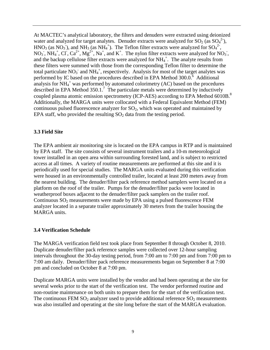At MACTEC's analytical laboratory, the filters and denuders were extracted using deionized water and analyzed for target analytes. Denuder extracts were analyzed for  $SO_2$  (as  $SO_4^2$ ), HNO<sub>3</sub> (as NO<sub>3</sub><sup>-</sup>), and NH<sub>3</sub> (as NH<sub>4</sub><sup>+</sup>). The Teflon filter extracts were analyzed for SO<sub>4</sub><sup>2</sup><sup>-</sup>, NO<sub>3</sub>, NH<sub>4</sub><sup>+</sup>, Cl<sup>-</sup>, Ca<sup>2+</sup>, Mg<sup>2+</sup>, Na<sup>+</sup>, and K<sup>+</sup>. The nylon filter extracts were analyzed for NO<sub>3</sub>, and the backup cellulose filter extracts were analyzed for  $NH_4^+$ . The analyte results from these filters were summed with those from the corresponding Teflon filter to determine the total particulate  $NO_3^-$  and  $NH_4^+$ , respectively. Analysis for most of the target analytes was performed by IC based on the procedures described in EPA Method  $300.0$ <sup>6</sup> Additional analysis for  $NH_4^+$  was performed by automated colorimetry (AC) based on the procedures described in EPA Method  $350.1$ .<sup>7</sup> The particulate metals were determined by inductively coupled plasma atomic emission spectrometry (ICP-AES) according to EPA Method 6010B.<sup>8</sup> Additionally, the MARGA units were collocated with a Federal Equivalent Method (FEM) continuous pulsed fluorescence analyzer for  $SO<sub>2</sub>$ , which was operated and maintained by EPA staff, who provided the resulting  $SO<sub>2</sub>$  data from the testing period.

#### <span id="page-17-0"></span>**3.3 Field Site**

The EPA ambient air monitoring site is located on the EPA campus in RTP and is maintained by EPA staff. The site consists of several instrument trailers and a 10-m meteorological tower installed in an open area within surrounding forested land, and is subject to restricted access at all times. A variety of routine measurements are performed at this site and it is periodically used for special studies. The MARGA units evaluated during this verification were housed in an environmentally controlled trailer, located at least 200 meters away from the nearest building. The denuder/filter pack reference method samplers were located on a platform on the roof of the trailer. Pumps for the denuder/filter packs were located in weatherproof boxes adjacent to the denuder/filter pack samplers on the trailer roof. Continuous  $SO_2$  measurements were made by EPA using a pulsed fluorescence FEM analyzer located in a separate trailer approximately 30 meters from the trailer housing the MARGA units.

#### <span id="page-17-1"></span>**3.4 Verification Schedule**

The MARGA verification field test took place from September 8 through October 8, 2010. Duplicate denuder/filter pack reference samples were collected over 12-hour sampling intervals throughout the 30-day testing period, from 7:00 am to 7:00 pm and from 7:00 pm to 7:00 am daily. Denuder/filter pack reference measurements began on September 8 at 7:00 pm and concluded on October 8 at 7:00 pm.

Duplicate MARGA units were installed by the vendor and had been operating at the site for several weeks prior to the start of the verification test. The vendor performed routine and non-routine maintenance on both units to prepare them for the start of the verification test. The continuous FEM  $SO_2$  analyzer used to provide additional reference  $SO_2$  measurements was also installed and operating at the site long before the start of the MARGA evaluation.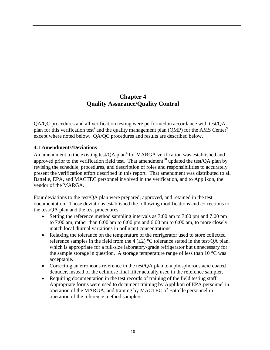# **Chapter 4 Quality Assurance/Quality Control**

<span id="page-18-0"></span>QA/QC procedures and all verification testing were performed in accordance with test/QA plan for this verification test<sup>4</sup> and the quality management plan (QMP) for the AMS Center<sup>9</sup> except where noted below. QA/QC procedures and results are described below.

### <span id="page-18-1"></span>**4.1 Amendments/Deviations**

An amendment to the existing test/OA plan<sup>4</sup> for MARGA verification was established and approved prior to the verification field test. That amendment<sup>10</sup> updated the test/QA plan by revising the schedule, procedures, and description of roles and responsibilities to accurately present the verification effort described in this report. That amendment was distributed to all Battelle, EPA, and MACTEC personnel involved in the verification, and to Applikon, the vendor of the MARGA.

Four deviations to the test/QA plan were prepared, approved, and retained in the test documentation. Those deviations established the following modifications and corrections to the test/QA plan and the test procedures:

- Setting the reference method sampling intervals as 7:00 am to 7:00 pm and 7:00 pm to 7:00 am, rather than 6:00 am to 6:00 pm and 6:00 pm to 6:00 am, to more closely match local diurnal variations in pollutant concentrations.
- Relaxing the tolerance on the temperature of the refrigerator used to store collected reference samples in the field from the 4  $(\pm 2)$  °C tolerance stated in the test/OA plan, which is appropriate for a full-size laboratory-grade refrigerator but unnecessary for the sample storage in question. A storage temperature range of less than 10  $\degree$ C was acceptable.
- Correcting an erroneous reference in the test/QA plan to a phosphorous acid coated denuder, instead of the cellulose final filter actually used in the reference sampler.
- Requiring documentation in the test records of training of the field testing staff. Appropriate forms were used to document training by Applikon of EPA personnel in operation of the MARGA, and training by MACTEC of Battelle personnel in operation of the reference method samplers.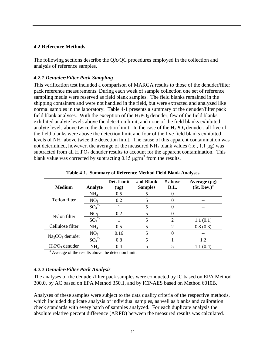#### <span id="page-19-0"></span>**4.2 Reference Methods**

The following sections describe the QA/QC procedures employed in the collection and analysis of reference samples.

#### <span id="page-19-1"></span>*4.2.1 Denuder/Filter Pack Sampling*

This verification test included a comparison of MARGA results to those of the denuder/filter pack reference measurements. During each week of sample collection one set of reference sampling media were reserved as field blank samples. The field blanks remained in the shipping containers and were not handled in the field, but were extracted and analyzed like normal samples in the laboratory. Table 4-1 presents a summary of the denuder/filter pack field blank analyses. With the exception of the  $H_3PO_3$  denuder, few of the field blanks exhibited analyte levels above the detection limit, and none of the field blanks exhibited analyte levels above twice the detection limit. In the case of the  $H_3PO_3$  denuder, all five of the field blanks were above the detection limit and four of the five field blanks exhibited levels of NH<sub>3</sub> above twice the detection limit. The cause of this apparent contamination was not determined, however, the average of the measured  $NH<sub>3</sub>$  blank values (i.e., 1.1 μg) was subtracted from all  $H_3PO_3$  denuder results to account for the apparent contamination. This blank value was corrected by subtracting  $0.15 \mu g/m^3$  from the results.

<span id="page-19-3"></span>

| <b>Medium</b>     | Analyte                      | Det. Limit<br>$(\mu g)$ | # of Blank<br><b>Samples</b> | # above<br>D.L.             | Average $(\mu g)$<br>(St. Dev.) <sup>a</sup> |
|-------------------|------------------------------|-------------------------|------------------------------|-----------------------------|----------------------------------------------|
|                   | $NH_4^+$                     | 0.5                     |                              |                             |                                              |
| Teflon filter     | NO <sub>3</sub>              | 0.2                     |                              |                             |                                              |
|                   | SO <sub>4</sub> <sup>2</sup> |                         | 5                            |                             |                                              |
| Nylon filter      | NO <sub>3</sub>              | $0.2^{\circ}$           |                              |                             |                                              |
|                   | SO <sub>4</sub> <sup>2</sup> |                         |                              | $\mathcal{D}_{\mathcal{A}}$ | 1.1(0.1)                                     |
| Cellulose filter  | $NH_4^+$                     | 0.5                     | 5                            | 2                           | 0.8(0.3)                                     |
|                   | NO <sub>3</sub>              | 0.16                    | 5                            |                             |                                              |
| $Na2CO3$ denuder  | SO <sub>4</sub> <sup>2</sup> | 0.8                     |                              |                             | 1.2                                          |
| $H_3PO_3$ denuder | NH <sub>3</sub>              | 0.4                     |                              |                             | 1.1(0.4)                                     |

**Table 4-1. Summary of Reference Method Field Blank Analyses**

<sup>a</sup> Average of the results above the detection limit.

#### <span id="page-19-2"></span>*4.2.2 Denuder/Filter Pack Analysis*

The analyses of the denuder/filter pack samples were conducted by IC based on EPA Method 300.0, by AC based on EPA Method 350.1, and by ICP-AES based on Method 6010B.

Analyses of these samples were subject to the data quality criteria of the respective methods, which included duplicate analysis of individual samples, as well as blanks and calibration check standards with every batch of samples analyzed. For each duplicate analysis the absolute relative percent difference (ARPD) between the measured results was calculated.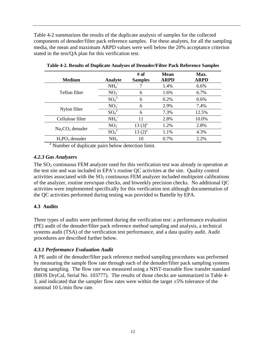Table 4-2 summarizes the results of the duplicate analysis of samples for the collected components of denuder/filter pack reference samples. For these analytes, for all the sampling media, the mean and maximum ARPD values were well below the 20% acceptance criterion stated in the test/QA plan for this verification test.

<span id="page-20-3"></span>

| <b>Medium</b>     | Analyte                      | $#$ of<br><b>Samples</b> | <b>Mean</b><br><b>ARPD</b> | Max.<br><b>ARPD</b> |
|-------------------|------------------------------|--------------------------|----------------------------|---------------------|
|                   | $NH4+$                       |                          | 1.4%                       | 6.6%                |
| Teflon filter     | NO <sub>3</sub>              | 6                        | 1.6%                       | 6.7%                |
|                   | SO <sub>4</sub> <sup>2</sup> | 6                        | 0.2%                       | 0.6%                |
|                   | NO <sub>3</sub>              | 6                        | 2.9%                       | 7.4%                |
| Nylon filter      | SO <sub>4</sub> <sup>2</sup> | 6                        | 7.3%                       | 12.5%               |
| Cellulose filter  | $NH4+$                       | 11                       | 2.8%                       | 10.0%               |
|                   | NO <sub>3</sub>              | $13(3)^{a}$              | 1.2%                       | 2.8%                |
| $Na2CO3$ denuder  | $SO_4^2$                     | $13(2)^{a}$              | 1.1%                       | 4.3%                |
| $H_3PO_3$ denuder | NH <sub>3</sub>              | 10                       | 0.7%                       | 2.2%                |

**Table 4-2. Results of Duplicate Analyses of Denuder/Filter Pack Reference Samples**

<sup>a</sup> Number of duplicate pairs below detection limit.

#### <span id="page-20-0"></span>*4.2.3 Gas Analyzers*

The  $SO<sub>2</sub>$  continuous FEM analyzer used for this verification test was already in operation at the test site and was included in EPA's routine QC activities at the site. Quality control activities associated with the  $SO<sub>2</sub>$  continuous FEM analyzer included multipoint calibrations of the analyzer, routine zero/span checks, and biweekly precision checks. No additional QC activities were implemented specifically for this verification test although documentation of the QC activities performed during testing was provided to Battelle by EPA.

#### <span id="page-20-1"></span>**4.3 Audits**

Three types of audits were performed during the verification test: a performance evaluation (PE) audit of the denuder/filter pack reference method sampling and analysis, a technical systems audit (TSA) of the verification test performance, and a data quality audit. Audit procedures are described further below.

#### <span id="page-20-2"></span>*4.3.1 Performance Evaluation Audit*

A PE audit of the denuder/filter pack reference method sampling procedures was performed by measuring the sample flow rate through each of the denuder/filter pack sampling systems during sampling. The flow rate was measured using a NIST-traceable flow transfer standard (BIOS DryCal, Serial No. 103777). The results of those checks are summarized in Table 4- 3, and indicated that the sampler flow rates were within the target  $\pm 5\%$  tolerance of the nominal 10 L/min flow rate.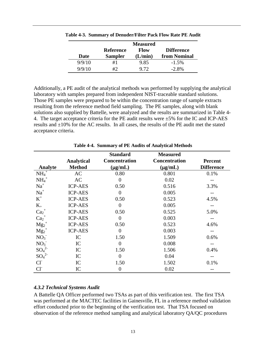|        |                  | <b>Measured</b> |                   |
|--------|------------------|-----------------|-------------------|
|        | <b>Reference</b> | Flow            | <b>Difference</b> |
| Date   | <b>Sampler</b>   | (L/min)         | from Nominal      |
| 9/9/10 | #1               | 9.85            | $-1.5\%$          |
| 9/9/10 | #2               | 9.72            | $-2.8\%$          |

<span id="page-21-1"></span>**Table 4-3. Summary of Denuder/Filter Pack Flow Rate PE Audit**

Additionally, a PE audit of the analytical methods was performed by supplying the analytical laboratory with samples prepared from independent NIST-traceable standard solutions. Those PE samples were prepared to be within the concentration range of sample extracts resulting from the reference method field sampling. The PE samples, along with blank solutions also supplied by Battelle, were analyzed and the results are summarized in Table 4- 4. The target acceptance criteria for the PE audit results were ±5% for the IC and ICP-AES results and  $\pm 10\%$  for the AC results. In all cases, the results of the PE audit met the stated acceptance criteria.

<span id="page-21-2"></span>

|                     |                   | <b>Standard</b>      | <b>Measured</b>      |                   |
|---------------------|-------------------|----------------------|----------------------|-------------------|
|                     | <b>Analytical</b> | <b>Concentration</b> | <b>Concentration</b> | <b>Percent</b>    |
| Analyte             | <b>Method</b>     | $(\mu g/mL)$         | $(\mu g/mL)$         | <b>Difference</b> |
| $NH_4^+$            | AC                | 0.80                 | 0.801                | 0.1%              |
| $NH_4$ <sup>+</sup> | AC                | $\overline{0}$       | 0.02                 |                   |
| $Na+$               | <b>ICP-AES</b>    | 0.50                 | 0.516                | 3.3%              |
| $Na+$               | <b>ICP-AES</b>    | $\overline{0}$       | 0.005                |                   |
| $\mbox{K}^+$        | <b>ICP-AES</b>    | 0.50                 | 0.523                | 4.5%              |
| $K_{+}$             | <b>ICP-AES</b>    | $\overline{0}$       | 0.005                |                   |
| $Ca2+$              | <b>ICP-AES</b>    | 0.50                 | 0.525                | 5.0%              |
| $Ca2+$              | <b>ICP-AES</b>    | $\overline{0}$       | 0.003                |                   |
| $Mg_2^+$            | <b>ICP-AES</b>    | 0.50                 | 0.523                | 4.6%              |
| $Mg_2^+$            | <b>ICP-AES</b>    | $\overline{0}$       | 0.003                |                   |
| NO <sub>3</sub>     | IC                | 1.50                 | 1.509                | 0.6%              |
| NO <sub>3</sub>     | IC                | $\boldsymbol{0}$     | 0.008                |                   |
| $SO_4^2$            | IC                | 1.50                 | 1.506                | 0.4%              |
| $SO_4^2$            | IC                | $\boldsymbol{0}$     | 0.04                 |                   |
| $CI-$               | IC                | 1.50                 | 1.502                | 0.1%              |
| CI <sub>1</sub>     | IC                | $\boldsymbol{0}$     | 0.02                 |                   |

**Table 4-4. Summary of PE Audits of Analytical Methods**

#### <span id="page-21-0"></span>*4.3.2 Technical Systems Audit*

A Battelle QA Officer performed two TSAs as part of this verification test. The first TSA was performed at the MACTEC facilities in Gainesville, FL in a reference method validation effort conducted prior to the beginning of the verification test. That TSA focused on observation of the reference method sampling and analytical laboratory QA/QC procedures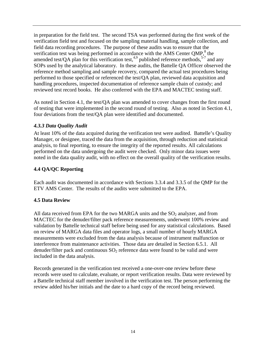in preparation for the field test. The second TSA was performed during the first week of the verification field test and focused on the sampling material handling, sample collection, and field data recording procedures. The purpose of these audits was to ensure that the verification test was being performed in accordance with the AMS Center QMP,<sup>8</sup> the amended test/QA plan for this verification test,  $4.9$  published reference methods,  $5-7$  and any SOPs used by the analytical laboratory. In these audits, the Battelle QA Officer observed the reference method sampling and sample recovery, compared the actual test procedures being performed to those specified or referenced the test/QA plan, reviewed data acquisition and handling procedures, inspected documentation of reference sample chain of custody; and reviewed test record books. He also conferred with the EPA and MACTEC testing staff.

As noted in Section 4.1, the test/QA plan was amended to cover changes from the first round of testing that were implemented in the second round of testing. Also as noted in Section 4.1, four deviations from the test/QA plan were identified and documented.

#### <span id="page-22-0"></span>*4.3.3 Data Quality Audit*

At least 10% of the data acquired during the verification test were audited. Battelle's Quality Manager, or designee, traced the data from the acquisition, through reduction and statistical analysis, to final reporting, to ensure the integrity of the reported results. All calculations performed on the data undergoing the audit were checked. Only minor data issues were noted in the data quality audit, with no effect on the overall quality of the verification results.

#### <span id="page-22-1"></span>**4.4 QA/QC Reporting**

Each audit was documented in accordance with Sections 3.3.4 and 3.3.5 of the QMP for the ETV AMS Center. The results of the audits were submitted to the EPA.

#### <span id="page-22-2"></span>**4.5 Data Review**

All data received from EPA for the two MARGA units and the  $SO_2$  analyzer, and from MACTEC for the denuder/filter pack reference measurements, underwent 100% review and validation by Battelle technical staff before being used for any statistical calculations. Based on review of MARGA data files and operator logs, a small number of hourly MARGA measurements were excluded from the data analysis because of instrument malfunction or interference from maintenance activities. Those data are detailed in Section 6.5.1. All denuder/filter pack and continuous  $SO_2$  reference data were found to be valid and were included in the data analysis.

Records generated in the verification test received a one-over-one review before these records were used to calculate, evaluate, or report verification results. Data were reviewed by a Battelle technical staff member involved in the verification test. The person performing the review added his/her initials and the date to a hard copy of the record being reviewed.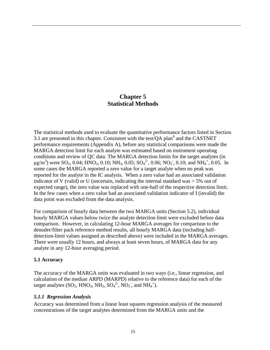## **Chapter 5 Statistical Methods**

<span id="page-23-0"></span>The statistical methods used to evaluate the quantitative performance factors listed in Section 3.1 are presented in this chapter. Consistent with the test/QA plan<sup>4</sup> and the CASTNET performance requirements (Appendix A), before any statistical comparisons were made the MARGA detection limit for each analyte was estimated based on instrument operating conditions and review of QC data. The MARGA detection limits for the target analytes (in  $\mu$ g/m<sup>3</sup>) were SO<sub>2</sub>, 0.04; HNO<sub>3</sub>, 0.10; NH<sub>3</sub>, 0.05; SO<sub>4</sub><sup>2</sup>, 0.06; NO<sub>3</sub>, 0.10; and NH<sub>4</sub><sup>+</sup>, 0.05. In some cases the MARGA reported a zero value for a target analyte when no peak was reported for the analyte in the IC analysis. When a zero value had an associated validation indicator of V (valid) or U (uncertain, indicating the internal standard was  $> 5\%$  out of expected range), the zero value was replaced with one-half of the respective detection limit. In the few cases when a zero value had an associated validation indicator of I (invalid) the data point was excluded from the data analysis.

For comparison of hourly data between the two MARGA units (Section 5.2), individual hourly MARGA values below twice the analyte detection limit were excluded before data comparison. However, in calculating 12-hour MARGA averages for comparison to the denuder/filter pack reference method results, all hourly MARGA data (including halfdetection-limit values assigned as described above) were included in the MARGA averages. There were usually 12 hours, and always at least seven hours, of MARGA data for any analyte in any 12-hour averaging period.

#### <span id="page-23-1"></span>**5.1 Accuracy**

The accuracy of the MARGA units was evaluated in two ways (i.e., linear regression, and calculation of the median ARPD (MARPD) relative to the reference data) for each of the target analytes  $(SO_2, HNO_3, NH_3, SO_4^{2}^2, NO_3, and NH_4^+).$ 

#### <span id="page-23-2"></span>*5.1.1 Regression Analysis*

Accuracy was determined from a linear least squares regression analysis of the measured concentrations of the target analytes determined from the MARGA units and the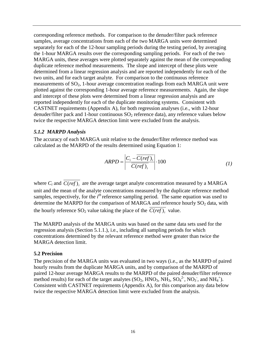corresponding reference methods. For comparison to the denuder/filter pack reference samples, average concentrations from each of the two MARGA units were determined separately for each of the 12-hour sampling periods during the testing period, by averaging the 1-hour MARGA results over the corresponding sampling periods. For each of the two MARGA units, these averages were plotted separately against the mean of the corresponding duplicate reference method measurements. The slope and intercept of these plots were determined from a linear regression analysis and are reported independently for each of the two units, and for each target analyte. For comparison to the continuous reference measurements of  $SO_2$ , 1-hour average concentration readings from each MARGA unit were plotted against the corresponding 1-hour average reference measurements. Again, the slope and intercept of these plots were determined from a linear regression analysis and are reported independently for each of the duplicate monitoring systems. Consistent with CASTNET requirements (Appendix A), for both regression analyses (i.e., with 12-hour denuder/filter pack and 1-hour continuous  $SO_2$  reference data), any reference values below twice the respective MARGA detection limit were excluded from the analysis.

#### <span id="page-24-0"></span>*5.1.2 MARPD Analysis*

The accuracy of each MARGA unit relative to the denuder/filter reference method was calculated as the MARPD of the results determined using Equation 1:

$$
ARPD = \left| \frac{C_i - \overline{C(\text{ref})_i}}{\overline{C(\text{ref})_i}} \right| \cdot 100 \tag{1}
$$

where  $C_i$  and  $\overline{C(ref)}$  are the average target analyte concentration measured by a MARGA unit and the mean of the analyte concentrations measured by the duplicate reference method samples, respectively, for the *i*<sup>th</sup> reference sampling period. The same equation was used to determine the MARPD for the comparison of MARGA and reference hourly  $SO_2$  data, with the hourly reference SO<sub>2</sub> value taking the place of the  $\overline{C(ref)}$ , value.

The MARPD analysis of the MARGA units was based on the same data sets used for the regression analysis (Section 5.1.1.), i.e., including all sampling periods for which concentrations determined by the relevant reference method were greater than twice the MARGA detection limit.

#### <span id="page-24-1"></span>**5.2 Precision**

The precision of the MARGA units was evaluated in two ways (i.e., as the MARPD of paired hourly results from the duplicate MARGA units, and by comparison of the MARPD of paired 12-hour average MARGA results to the MARPD of the paired denuder/filter reference method results) for each of the target analytes  $(SO_2, HNO_3, NH_3, SO_4^{2}$ ,  $NO_3$ , and  $NH_4^+$ ). Consistent with CASTNET requirements (Appendix A), for this comparison any data below twice the respective MARGA detection limit were excluded from the analysis.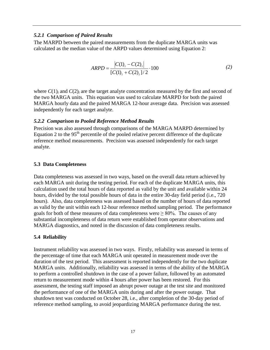#### <span id="page-25-0"></span>*5.2.1 Comparison of Paired Results*

The MARPD between the paired measurements from the duplicate MARGA units was calculated as the median value of the ARPD values determined using Equation 2:

$$
ARPD = \frac{|C(1)_i - C(2)_i|}{[C(1)_i + C(2)_i]/2} \cdot 100
$$
 (2)

where  $C(1)$ *i* and  $C(2)$ *i* are the target analyte concentration measured by the first and second of the two MARGA units. This equation was used to calculate MARPD for both the paired MARGA hourly data and the paired MARGA 12-hour average data. Precision was assessed independently for each target analyte.

#### <span id="page-25-1"></span>*5.2.2 Comparison to Pooled Reference Method Results*

Precision was also assessed through comparisons of the MARGA MARPD determined by Equation 2 to the  $95<sup>th</sup>$  percentile of the pooled relative percent difference of the duplicate reference method measurements. Precision was assessed independently for each target analyte.

#### <span id="page-25-2"></span>**5.3 Data Completeness**

Data completeness was assessed in two ways, based on the overall data return achieved by each MARGA unit during the testing period. For each of the duplicate MARGA units, this calculation used the total hours of data reported as valid by the unit and available within 24 hours, divided by the total possible hours of data in the entire 30-day field period (i.e., 720 hours). Also, data completeness was assessed based on the number of hours of data reported as valid by the unit within each 12-hour reference method sampling period. The performance goals for both of these measures of data completeness were  $\geq 80\%$ . The causes of any substantial incompleteness of data return were established from operator observations and MARGA diagnostics, and noted in the discussion of data completeness results.

### <span id="page-25-3"></span>**5.4 Reliability**

Instrument reliability was assessed in two ways. Firstly, reliability was assessed in terms of the percentage of time that each MARGA unit operated in measurement mode over the duration of the test period. This assessment is reported independently for the two duplicate MARGA units. Additionally, reliability was assessed in terms of the ability of the MARGA to perform a controlled shutdown in the case of a power failure, followed by an automated return to measurement mode within 4 hours after power has been restored. For this assessment, the testing staff imposed an abrupt power outage at the test site and monitored the performance of one of the MARGA units during and after the power outage. That shutdown test was conducted on October 28, i.e., after completion of the 30-day period of reference method sampling, to avoid jeopardizing MARGA performance during the test.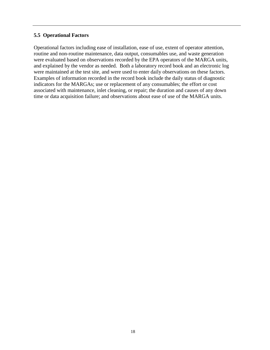#### <span id="page-26-0"></span>**5.5 Operational Factors**

Operational factors including ease of installation, ease of use, extent of operator attention, routine and non-routine maintenance, data output, consumables use, and waste generation were evaluated based on observations recorded by the EPA operators of the MARGA units, and explained by the vendor as needed. Both a laboratory record book and an electronic log were maintained at the test site, and were used to enter daily observations on these factors. Examples of information recorded in the record book include the daily status of diagnostic indicators for the MARGAs; use or replacement of any consumables; the effort or cost associated with maintenance, inlet cleaning, or repair; the duration and causes of any down time or data acquisition failure; and observations about ease of use of the MARGA units.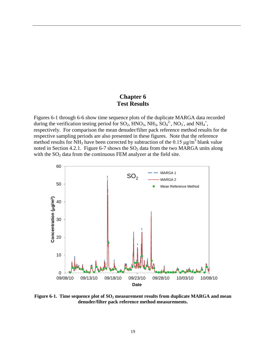# **Chapter 6 Test Results**

<span id="page-27-0"></span>Figures 6-1 through 6-6 show time sequence plots of the duplicate MARGA data recorded during the verification testing period for  $SO_2$ ,  $HNO_3$ ,  $NH_3$ ,  $SO_4^2$ ,  $NO_3$ , and  $NH_4^+$ , respectively. For comparison the mean denuder/filter pack reference method results for the respective sampling periods are also presented in these figures. Note that the reference method results for NH<sub>3</sub> have been corrected by subtraction of the 0.15  $\mu$ g/m<sup>3</sup> blank value noted in Section 4.2.1. Figure 6-7 shows the  $SO<sub>2</sub>$  data from the two MARGA units along with the  $SO_2$  data from the continuous FEM analyzer at the field site.



<span id="page-27-1"></span>Figure 6-1. Time sequence plot of SO<sub>2</sub> measurement results from duplicate MARGA and mean **denuder/filter pack reference method measurements.**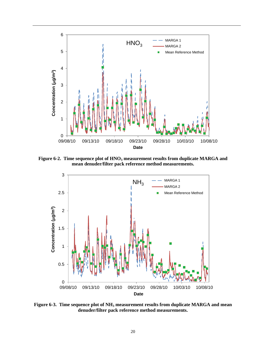

<span id="page-28-0"></span>Figure 6-2. Time sequence plot of HNO<sub>3</sub> measurement results from duplicate MARGA and **mean denuder/filter pack reference method measurements.**



<span id="page-28-1"></span>Figure 6-3. Time sequence plot of NH<sub>3</sub> measurement results from duplicate MARGA and mean **denuder/filter pack reference method measurements.**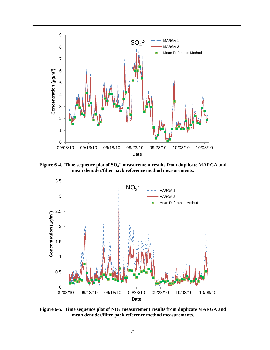

<span id="page-29-0"></span>Figure 6-4. Time sequence plot of SO<sub>4</sub><sup>2</sup> measurement results from duplicate MARGA and **mean denuder/filter pack reference method measurements.**



<span id="page-29-1"></span>Figure 6-5. Time sequence plot of NO<sub>3</sub> measurement results from duplicate MARGA and **mean denuder/filter pack reference method measurements.**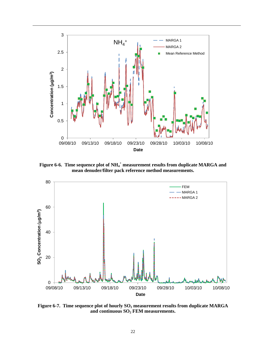

<span id="page-30-0"></span>Figure 6-6. Time sequence plot of NH<sub>4</sub><sup>+</sup> measurement results from duplicate MARGA and **mean denuder/filter pack reference method measurements.**



<span id="page-30-1"></span>Figure 6-7. Time sequence plot of hourly SO<sub>2</sub> measurement results from duplicate MARGA **and continuous SO2 FEM measurements.**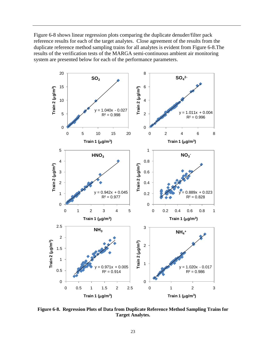Figure 6-8 shows linear regression plots comparing the duplicate denuder/filter pack reference results for each of the target analytes. Close agreement of the results from the duplicate reference method sampling trains for all analytes is evident from Figure 6-8.The results of the verification tests of the MARGA semi-continuous ambient air monitoring system are presented below for each of the performance parameters.



<span id="page-31-0"></span>**Figure 6-8. Regression Plots of Data from Duplicate Reference Method Sampling Trains for Target Analytes.**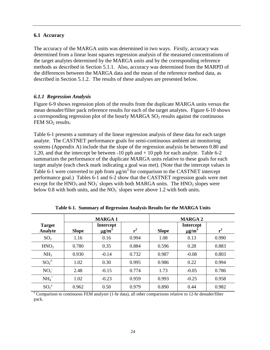#### <span id="page-32-0"></span>**6.1 Accuracy**

The accuracy of the MARGA units was determined in two ways. Firstly, accuracy was determined from a linear least squares regression analysis of the measured concentrations of the target analytes determined by the MARGA units and by the corresponding reference methods as described in Section 5.1.1. Also, accuracy was determined from the MARPD of the differences between the MARGA data and the mean of the reference method data, as described in Section 5.1.2. The results of these analyses are presented below.

#### <span id="page-32-1"></span>*6.1.1 Regression Analysis*

Figure 6-9 shows regression plots of the results from the duplicate MARGA units versus the mean denuder/filter pack reference results for each of the target analytes. Figure 6-10 shows a corresponding regression plot of the hourly MARGA  $SO<sub>2</sub>$  results against the continuous FEM  $SO<sub>2</sub>$  results.

Table 6-1 presents a summary of the linear regression analysis of these data for each target analyte. The CASTNET performance goals for semi-continuous ambient air monitoring systems (Appendix A) include that the slope of the regression analysis be between 0.80 and 1.20, and that the intercept be between -10 ppb and + 10 ppb for each analyte. Table 6-2 summarizes the performance of the duplicate MARGA units relative to these goals for each target analyte (each check mark indicating a goal was met). (Note that the intercept values in Table 6-1 were converted to ppb from  $\mu$ g/m<sup>3</sup> for comparison to the CASTNET intercept performance goal.) Tables 6-1 and 6-2 show that the CASTNET regression goals were met except for the  $HNO<sub>3</sub>$  and  $NO<sub>3</sub>$  slopes with both MARGA units. The  $HNO<sub>3</sub>$  slopes were below 0.8 with both units, and the  $NO<sub>3</sub>$  slopes were above 1.2 with both units.

<span id="page-32-2"></span>

|                          | <b>MARGA1</b> |                                            |       | <b>MARGA 2</b> |                                            |       |
|--------------------------|---------------|--------------------------------------------|-------|----------------|--------------------------------------------|-------|
| <b>Target</b><br>Analyte | <b>Slope</b>  | <b>Intercept</b><br>$\mu$ g/m <sup>3</sup> | $r^2$ | <b>Slope</b>   | <b>Intercept</b><br>$\mu$ g/m <sup>3</sup> | $r^2$ |
| SO <sub>2</sub>          | 1.16          | 0.16                                       | 0.994 | 1.08           | 0.13                                       | 0.990 |
| HNO <sub>3</sub>         | 0.780         | 0.35                                       | 0.884 | 0.596          | 0.28                                       | 0.883 |
| NH <sub>3</sub>          | 0.930         | $-0.14$                                    | 0.732 | 0.987          | $-0.08$                                    | 0.803 |
| $SO_4^2$                 | 1.02          | 0.30                                       | 0.995 | 0.986          | 0.22                                       | 0.994 |
| NO <sub>3</sub>          | 2.48          | $-0.15$                                    | 0.774 | 1.73           | $-0.05$                                    | 0.786 |
| $NH4+$                   | 1.02          | $-0.23$                                    | 0.959 | 0.993          | $-0.25$                                    | 0.958 |
| ${SO_2}^a$               | 0.962         | 0.50                                       | 0.979 | 0.890          | 0.44                                       | 0.982 |

**Table 6-1. Summary of Regression Analysis Results for the MARGA Units**

<sup>a</sup> Comparison to continuous FEM analyzer (1-hr data), all other comparisons relative to 12-hr denuder/filter pack.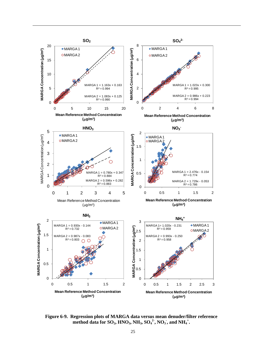

**Figure 6-9. Regression plots of MARGA data versus mean denuder/filter reference**   $\mathbf{m}$ ethod data for  $\mathbf{SO}_2$ ,  $\mathbf{HNO}_3$ ,  $\mathbf{NH}_3$ ,  $\mathbf{SO_4}^2$ ,  $\mathbf{NO_3}$ , and  $\mathbf{NH_4}^+$ .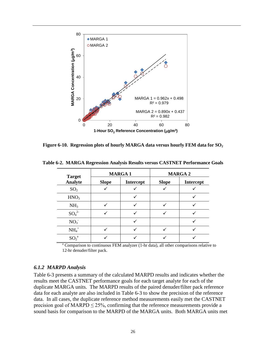

<span id="page-34-1"></span>**Figure 6-10. Regression plots of hourly MARGA data versus hourly FEM data for SO<sub>2</sub>** 

| <b>Target</b>    |              | <b>MARGA1</b>    | <b>MARGA 2</b> |           |  |
|------------------|--------------|------------------|----------------|-----------|--|
| Analyte          | <b>Slope</b> | <b>Intercept</b> | <b>Slope</b>   | Intercept |  |
| SO <sub>2</sub>  |              |                  |                |           |  |
| HNO <sub>3</sub> |              |                  |                |           |  |
| NH <sub>3</sub>  |              |                  |                |           |  |
| $SO_4^2$         |              |                  |                |           |  |
| NO <sub>3</sub>  |              |                  |                |           |  |
| $NH4+$           |              |                  |                |           |  |
| ${SO_2}^a$       |              |                  |                |           |  |

<span id="page-34-2"></span>**Table 6-2. MARGA Regression Analysis Results versus CASTNET Performance Goals**

<sup>a</sup> Comparison to continuous FEM analyzer (1-hr data), all other comparisons relative to 12-hr denuder/filter pack.

#### <span id="page-34-0"></span>*6.1.2 MARPD Analysis*

Table 6-3 presents a summary of the calculated MARPD results and indicates whether the results meet the CASTNET performance goals for each target analyte for each of the duplicate MARGA units. The MARPD results of the paired denuder/filter pack reference data for each analyte are also included in Table 6-3 to show the precision of the reference data. In all cases, the duplicate reference method measurements easily met the CASTNET precision goal of MARPD  $\leq$  25%, confirming that the reference measurements provide a sound basis for comparison to the MARPD of the MARGA units. Both MARGA units met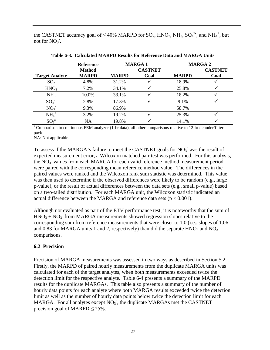<span id="page-35-1"></span>the CASTNET accuracy goal of  $\leq 40\%$  MARPD for SO<sub>2</sub>, HNO<sub>3</sub>, NH<sub>3</sub>, SO<sub>4</sub><sup>2-</sup>, and NH<sub>4</sub><sup>+</sup>, but not for  $NO_3$ .

|                       | <b>Reference</b> | <b>MARGA1</b> |                |              | <b>MARGA 2</b> |
|-----------------------|------------------|---------------|----------------|--------------|----------------|
|                       | <b>Method</b>    |               | <b>CASTNET</b> |              | <b>CASTNET</b> |
| <b>Target Analyte</b> | <b>MARPD</b>     | <b>MARPD</b>  | Goal           | <b>MARPD</b> | Goal           |
| SO <sub>2</sub>       | 4.8%             | 31.2%         |                | 18.9%        |                |
| HNO <sub>3</sub>      | 7.2%             | 34.1%         |                | 25.8%        |                |
| NH <sub>3</sub>       | 10.0%            | 33.1%         |                | 18.2%        |                |
| $SO_4^2$              | 2.8%             | 17.3%         |                | 9.1%         |                |
| NO <sub>3</sub>       | 9.3%             | 86.9%         |                | 58.7%        |                |
| $NH4+$                | 3.2%             | 19.2%         |                | 25.3%        |                |
| $SO_2^a$              | NA               | 19.8%         |                | 14.1%        |                |

**Table 6-3. Calculated MARPD Results for Reference Data and MARGA Units**

 $a$  Comparison to continuous FEM analyzer (1-hr data), all other comparisons relative to 12-hr denuder/filter pack.

NA: Not applicable.

To assess if the MARGA's failure to meet the CASTNET goals for  $NO<sub>3</sub>$  was the result of expected measurement error, a Wilcoxon matched pair test was performed. For this analysis, the NO<sub>3</sub> values from each MARGA for each valid reference method measurement period were paired with the corresponding mean reference method value. The differences in the paired values were ranked and the Wilcoxon rank sum statistic was determined. This value was then used to determine if the observed differences were likely to be random (e.g., large p-value), or the result of actual differences between the data sets (e.g., small p-value) based on a two-tailed distribution. For each MARGA unit, the Wilcoxon statistic indicated an actual difference between the MARGA and reference data sets ( $p < 0.001$ ).

Although not evaluated as part of the ETV performance test, it is noteworthy that the sum of  $HNO<sub>3</sub> + NO<sub>3</sub>$  from MARGA measurements showed regression slopes relative to the corresponding sum from reference measurements that were closer to 1.0 (i.e., slopes of 1.06 and 0.83 for MARGA units 1 and 2, respectively) than did the separate  $HNO<sub>3</sub>$  and  $NO<sub>3</sub>$ comparisons.

#### <span id="page-35-0"></span>**6.2 Precision**

Precision of MARGA measurements was assessed in two ways as described in Section 5.2. Firstly, the MARPD of paired hourly measurements from the duplicate MARGA units was calculated for each of the target analytes, when both measurements exceeded twice the detection limit for the respective analyte. Table 6-4 presents a summary of the MARPD results for the duplicate MARGAs. This table also presents a summary of the number of hourly data points for each analyte where both MARGA results exceeded twice the detection limit as well as the number of hourly data points below twice the detection limit for each MARGA. For all analytes except  $\overline{NO_3}$ , the duplicate MARGAs met the CASTNET precision goal of MARPD  $\leq$  25%.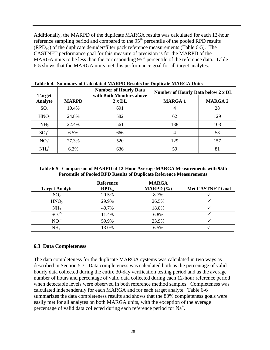Additionally, the MARPD of the duplicate MARGA results was calculated for each 12-hour reference sampling period and compared to the  $95<sup>th</sup>$  percentile of the pooled RPD results  $(RPD_{95})$  of the duplicate denuder/filter pack reference measurements (Table 6-5). The CASTNET performance goal for this measure of precision is for the MARPD of the MARGA units to be less than the corresponding  $95<sup>th</sup>$  percentile of the reference data. Table 6-5 shows that the MARGA units met this performance goal for all target analytes.

|                                 |              | <b>Number of Hourly Data</b><br>with Both Monitors above | Number of Hourly Data below 2 x DL |                |  |
|---------------------------------|--------------|----------------------------------------------------------|------------------------------------|----------------|--|
| <b>Target</b><br><b>Analyte</b> | <b>MARPD</b> | $2 \times DL$                                            | <b>MARGA1</b>                      | <b>MARGA 2</b> |  |
| SO <sub>2</sub>                 | 10.4%        | 691                                                      | 4                                  | 28             |  |
| HNO <sub>3</sub>                | 24.8%        | 582                                                      | 62                                 | 129            |  |
| NH <sub>3</sub>                 | 22.4%        | 561                                                      | 138                                | 103            |  |
| $SO_4^2$                        | 6.5%         | 666                                                      | 4                                  | 53             |  |
| NO <sub>3</sub>                 | 27.3%        | 520                                                      | 129                                | 157            |  |
| $NH4+$                          | 6.3%         | 636                                                      | 59                                 | 81             |  |

<span id="page-36-1"></span>**Table 6-4. Summary of Calculated MARPD Results for Duplicate MARGA Units**

<span id="page-36-2"></span>**Table 6-5. Comparison of MARPD of 12-Hour Average MARGA Measurements with 95th Percentile of Pooled RPD Results of Duplicate Reference Measurements**

|                       | <b>Reference</b> | <b>MARGA</b>  |                         |
|-----------------------|------------------|---------------|-------------------------|
| <b>Target Analyte</b> | $RPD_{95}$       | MARPD $(\% )$ | <b>Met CASTNET Goal</b> |
| SO <sub>2</sub>       | 20.5%            | 8.7%          |                         |
| HNO <sub>3</sub>      | 29.9%            | 26.5%         |                         |
| NH <sub>3</sub>       | 40.7%            | 18.8%         |                         |
| $SO_4^2$              | 11.4%            | 6.8%          |                         |
| NO <sub>3</sub>       | 59.9%            | 23.9%         |                         |
| $NH4+$                | 13.0%            | 6.5%          |                         |

#### <span id="page-36-0"></span>**6.3 Data Completeness**

The data completeness for the duplicate MARGA systems was calculated in two ways as described in Section 5.3. Data completeness was calculated both as the percentage of valid hourly data collected during the entire 30-day verification testing period and as the average number of hours and percentage of valid data collected during each 12-hour reference period when detectable levels were observed in both reference method samples. Completeness was calculated independently for each MARGA and for each target analyte. Table 6-6 summarizes the data completeness results and shows that the 80% completeness goals were easily met for all analytes on both MARGA units, with the exception of the average percentage of valid data collected during each reference period for Na<sup>+</sup>.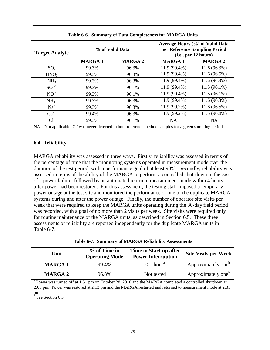<span id="page-37-1"></span>

| <b>Target Analyte</b> | % of Valid Data |                | Average Hours (%) of Valid Data<br>per Reference Sampling Period<br>(i.e., per 12 hours) |                |  |
|-----------------------|-----------------|----------------|------------------------------------------------------------------------------------------|----------------|--|
|                       | <b>MARGA1</b>   | <b>MARGA 2</b> | <b>MARGA1</b>                                                                            | <b>MARGA 2</b> |  |
| SO <sub>2</sub>       | 99.3%           | 96.3%          | 11.9 (99.4%)                                                                             | $11.6(96.3\%)$ |  |
| HNO <sub>3</sub>      | 99.3%           | 96.3%          | 11.9 (99.4%)                                                                             | $11.6(96.5\%)$ |  |
| NH <sub>3</sub>       | 99.3%           | 96.3%          | 11.9 (99.4%)                                                                             | $11.6(96.3\%)$ |  |
| $SO_4^{2-}$           | 99.3%           | 96.1%          | 11.9 (99.4%)                                                                             | $11.5(96.1\%)$ |  |
| NO <sub>3</sub>       | 99.3%           | 96.1%          | 11.9 (99.4%)                                                                             | $11.5(96.1\%)$ |  |
| $NH4+$                | 99.3%           | 96.3%          | 11.9 (99.4%)                                                                             | $11.6(96.3\%)$ |  |
| $Na+$                 | 99.3%           | 96.3%          | 11.9 (99.2%)                                                                             | 11.6(96.5%)    |  |
| $Ca^{2+}$             | 99.4%           | 96.3%          | 11.9 (99.2%)                                                                             | 11.5 (96.8%)   |  |
| $Cl^{\dagger}$        | 99.3%           | 96.1%          | NA.                                                                                      | <b>NA</b>      |  |

**Table 6-6. Summary of Data Completeness for MARGA Units**

NA – Not applicable, Cl was never detected in both reference method samples for a given sampling period.

#### <span id="page-37-0"></span>**6.4 Reliability**

MARGA reliability was assessed in three ways. Firstly, reliability was assessed in terms of the percentage of time that the monitoring systems operated in measurement mode over the duration of the test period, with a performance goal of at least 90%. Secondly, reliability was assessed in terms of the ability of the MARGA to perform a controlled shut-down in the case of a power failure, followed by an automated return to measurement mode within 4 hours after power had been restored. For this assessment, the testing staff imposed a temporary power outage at the test site and monitored the performance of one of the duplicate MARGA systems during and after the power outage. Finally, the number of operator site visits per week that were required to keep the MARGA units operating during the 30-day field period was recorded, with a goal of no more than 2 visits per week. Site visits were required only for routine maintenance of the MARGA units, as described in Section 6.5. These three assessments of reliability are reported independently for the duplicate MARGA units in Table 6-7.

**Table 6-7. Summary of MARGA Reliability Assessments**

<span id="page-37-2"></span>

| Unit           | % of Time in<br><b>Operating Mode</b> | Time to Start-up after<br><b>Power Interruption</b> | <b>Site Visits per Week</b>    |
|----------------|---------------------------------------|-----------------------------------------------------|--------------------------------|
| <b>MARGA1</b>  | 99.4%                                 | $< 1$ hour <sup>a</sup>                             | Approximately one <sup>b</sup> |
| <b>MARGA 2</b> | 96.8%                                 | Not tested                                          | Approximately one <sup>b</sup> |

<sup>a</sup> Power was turned off at 1:51 pm on October 28, 2010 and the MARGA completed a controlled shutdown at 2:08 pm. Power was restored at 2:13 pm and the MARGA restarted and returned to measurement mode at 2:31 pm.

 $<sup>5</sup>$  See Section 6.5.</sup>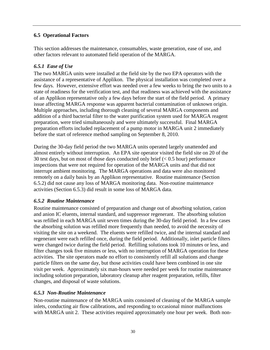### <span id="page-38-0"></span>**6.5 Operational Factors**

This section addresses the maintenance, consumables, waste generation, ease of use, and other factors relevant to automated field operation of the MARGA.

### <span id="page-38-1"></span>*6.5.1 Ease of Use*

The two MARGA units were installed at the field site by the two EPA operators with the assistance of a representative of Applikon. The physical installation was completed over a few days. However, extensive effort was needed over a few weeks to bring the two units to a state of readiness for the verification test, and that readiness was achieved with the assistance of an Applikon representative only a few days before the start of the field period. A primary issue affecting MARGA response was apparent bacterial contamination of unknown origin. Multiple approaches, including thorough cleaning of several MARGA components and addition of a third bacterial filter to the water purification system used for MARGA reagent preparation, were tried simultaneously and were ultimately successful. Final MARGA preparation efforts included replacement of a pump motor in MARGA unit 2 immediately before the start of reference method sampling on September 8, 2010.

During the 30-day field period the two MARGA units operated largely unattended and almost entirely without interruption. An EPA site operator visited the field site on 20 of the 30 test days, but on most of those days conducted only brief  $(< 0.5$  hour) performance inspections that were not required for operation of the MARGA units and that did not interrupt ambient monitoring. The MARGA operations and data were also monitored remotely on a daily basis by an Applikon representative. Routine maintenance (Section 6.5.2) did not cause any loss of MARGA monitoring data. Non-routine maintenance activities (Section 6.5.3) did result in some loss of MARGA data.

#### <span id="page-38-2"></span>*6.5.2 Routine Maintenance*

Routine maintenance consisted of preparation and change out of absorbing solution, cation and anion IC eluents, internal standard, and suppressor regenerant. The absorbing solution was refilled in each MARGA unit seven times during the 30-day field period. In a few cases the absorbing solution was refilled more frequently than needed, to avoid the necessity of visiting the site on a weekend. The eluents were refilled twice, and the internal standard and regenerant were each refilled once, during the field period. Additionally, inlet particle filters were changed twice during the field period. Refilling solutions took 10 minutes or less, and filter changes took five minutes or less, with no interruption of MARGA operation for these activities. The site operators made no effort to consistently refill all solutions and change particle filters on the same day, but those activities could have been combined in one site visit per week. Approximately six man-hours were needed per week for routine maintenance including solution preparation, laboratory cleanup after reagent preparation, refills, filter changes, and disposal of waste solutions.

#### <span id="page-38-3"></span>*6.5.3 Non-Routine Maintenance*

Non-routine maintenance of the MARGA units consisted of cleaning of the MARGA sample inlets, conducting air flow calibrations, and responding to occasional minor malfunctions with MARGA unit 2. These activities required approximately one hour per week. Both non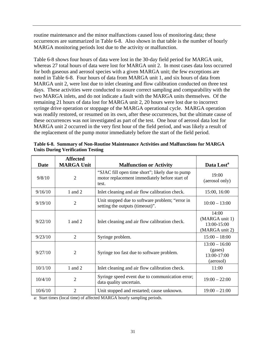routine maintenance and the minor malfunctions caused loss of monitoring data; these occurrences are summarized in Table 6-8. Also shown in that table is the number of hourly MARGA monitoring periods lost due to the activity or malfunction.

Table 6-8 shows four hours of data were lost in the 30-day field period for MARGA unit, whereas 27 total hours of data were lost for MARGA unit 2. In most cases data loss occurred for both gaseous and aerosol species with a given MARGA unit; the few exceptions are noted in Table 6-8. Four hours of data from MARGA unit 1, and six hours of data from MARGA unit 2, were lost due to inlet cleaning and flow calibration conducted on three test days. These activities were conducted to assure correct sampling and comparability with the two MARGA inlets, and do not indicate a fault with the MARGA units themselves. Of the remaining 21 hours of data lost for MARGA unit 2, 20 hours were lost due to incorrect syringe drive operation or stoppage of the MARGA operational cycle. MARGA operation was readily restored, or resumed on its own, after these occurrences, but the ultimate cause of these occurrences was not investigated as part of the test. One hour of aerosol data lost for MARGA unit 2 occurred in the very first hour of the field period, and was likely a result of the replacement of the pump motor immediately before the start of the field period.

| Date    | <b>Affected</b><br><b>MARGA Unit</b> | <b>Malfunction or Activity</b>                                                                            | Data Lost <sup>a</sup>                                   |
|---------|--------------------------------------|-----------------------------------------------------------------------------------------------------------|----------------------------------------------------------|
| 9/8/10  | $\overline{2}$                       | "SJAC fill open time short"; likely due to pump<br>motor replacement immediately before start of<br>test. | 19:00<br>(aerosol only)                                  |
| 9/16/10 | 1 and 2                              | Inlet cleaning and air flow calibration check.                                                            | 15:00, 16:00                                             |
| 9/19/10 | $\overline{2}$                       | Unit stopped due to software problem; "error in<br>setting the outputs (timeout)".                        | $10:00 - 13:00$                                          |
| 9/22/10 | 1 and $2$                            | Inlet cleaning and air flow calibration check.                                                            | 14:00<br>(MARGA unit 1)<br>13:00-15:00<br>(MARGA unit 2) |
| 9/23/10 | $\overline{2}$                       | Syringe problem.                                                                                          | $15:00 - 18:00$                                          |
| 9/27/10 | $\overline{2}$                       | Syringe too fast due to software problem.                                                                 | $13:00 - 16:00$<br>(gases)<br>13:00-17:00<br>(aerosol)   |
| 10/1/10 | 1 and 2                              | Inlet cleaning and air flow calibration check.                                                            | 11:00                                                    |
| 10/4/10 | $\overline{2}$                       | Syringe speed event due to communication error;<br>data quality uncertain.                                | $19:00 - 22:00$                                          |
| 10/6/10 | $\overline{2}$                       | Unit stopped and restarted; cause unknown.                                                                | $19:00 - 21:00$                                          |

<span id="page-39-0"></span>**Table 6-8. Summary of Non-Routine Maintenance Activities and Malfunctions for MARGA Units During Verification Testing**

a: Start times (local time) of affected MARGA hourly sampling periods.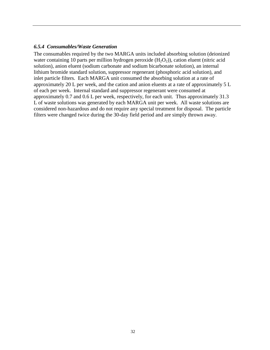#### <span id="page-40-0"></span>*6.5.4 Consumables/Waste Generation*

The consumables required by the two MARGA units included absorbing solution (deionized water containing 10 parts per million hydrogen peroxide  $(H_2O_2)$ ), cation eluent (nitric acid solution), anion eluent (sodium carbonate and sodium bicarbonate solution), an internal lithium bromide standard solution, suppressor regenerant (phosphoric acid solution), and inlet particle filters. Each MARGA unit consumed the absorbing solution at a rate of approximately 20 L per week, and the cation and anion eluents at a rate of approximately 5 L of each per week. Internal standard and suppressor regenerant were consumed at approximately 0.7 and 0.6 L per week, respectively, for each unit. Thus approximately 31.3 L of waste solutions was generated by each MARGA unit per week. All waste solutions are considered non-hazardous and do not require any special treatment for disposal. The particle filters were changed twice during the 30-day field period and are simply thrown away.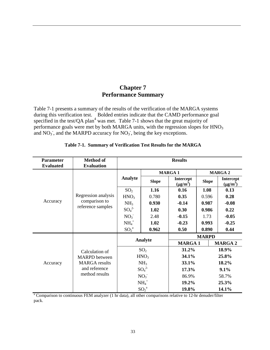# **Chapter 7 Performance Summary**

<span id="page-41-0"></span>Table 7-1 presents a summary of the results of the verification of the MARGA systems during this verification test. Bolded entries indicate that the CAMD performance goal specified in the test/QA plan<sup>4</sup> was met. Table 7-1 shows that the great majority of performance goals were met by both MARGA units, with the regression slopes for HNO<sub>3</sub> and  $NO<sub>3</sub>$ , and the MARPD accuracy for  $NO<sub>3</sub>$ , being the key exceptions.

<span id="page-41-1"></span>

| <b>Parameter</b><br><b>Evaluated</b> | <b>Method of</b><br><b>Evaluation</b> | <b>Results</b>   |                 |                            |              |                            |  |
|--------------------------------------|---------------------------------------|------------------|-----------------|----------------------------|--------------|----------------------------|--|
|                                      |                                       |                  | <b>MARGA1</b>   |                            |              | <b>MARGA 2</b>             |  |
|                                      |                                       | Analyte          | <b>Slope</b>    | Intercept<br>$(\mu g/m^3)$ | <b>Slope</b> | Intercept<br>$(\mu g/m^3)$ |  |
|                                      |                                       | SO <sub>2</sub>  | 1.16            | 0.16                       | 1.08         | 0.13                       |  |
|                                      | Regression analysis                   | HNO <sub>3</sub> | 0.780           | 0.35                       | 0.596        | 0.28                       |  |
| Accuracy                             | comparison to                         | NH <sub>3</sub>  | 0.930           | $-0.14$                    | 0.987        | $-0.08$                    |  |
|                                      | reference samples                     | $SO_4^2$         | 1.02            | 0.30                       | 0.986        | 0.22                       |  |
|                                      |                                       | NO <sub>3</sub>  | 2.48            | $-0.15$                    | 1.73         | $-0.05$                    |  |
|                                      |                                       | $NH4+$           | 1.02            | $-0.23$                    | 0.993        | $-0.25$                    |  |
|                                      |                                       | ${SO_2}^a$       | 0.962           | 0.50                       | 0.890        | 0.44                       |  |
|                                      |                                       | Analyte          |                 | <b>MARPD</b>               |              |                            |  |
|                                      |                                       |                  |                 | <b>MARGA1</b>              |              | <b>MARGA 2</b>             |  |
|                                      | Calculation of                        |                  | SO <sub>2</sub> | 31.2%                      |              | 18.9%                      |  |
|                                      | <b>MARPD</b> between                  | HNO <sub>3</sub> |                 | 34.1%                      |              | 25.8%                      |  |
| Accuracy                             | <b>MARGA</b> results                  |                  | NH <sub>3</sub> | 33.1%                      |              | 18.2%                      |  |
|                                      | and reference                         |                  | $SO_4^2$        | 17.3%                      |              | 9.1%                       |  |
|                                      | method results                        |                  | NO <sub>3</sub> | 86.9%                      |              | 58.7%                      |  |
|                                      |                                       |                  | $NH4+$          | 19.2%                      |              | 25.3%                      |  |
|                                      |                                       | ${SO_2}^a$       |                 | 19.8%                      |              | 14.1%                      |  |

#### **Table 7-1. Summary of Verification Test Results for the MARGA**

<sup>a</sup> Comparison to continuous FEM analyzer (1 hr data), all other comparisons relative to 12-hr denuder/filter pack.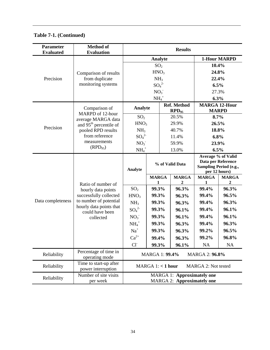| <b>Parameter</b><br><b>Evaluated</b> | <b>Method of</b><br><b>Evaluation</b>        | <b>Results</b>                                                         |                   |                 |                                  |                                                                                     |                   |
|--------------------------------------|----------------------------------------------|------------------------------------------------------------------------|-------------------|-----------------|----------------------------------|-------------------------------------------------------------------------------------|-------------------|
|                                      |                                              | <b>Analyte</b>                                                         |                   |                 |                                  | <b>1-Hour MARPD</b>                                                                 |                   |
|                                      |                                              |                                                                        | SO <sub>2</sub>   |                 |                                  | 10.4%                                                                               |                   |
|                                      | Comparison of results                        |                                                                        | HNO <sub>3</sub>  |                 |                                  | 24.8%                                                                               |                   |
| Precision                            | from duplicate                               |                                                                        | NH <sub>3</sub>   |                 |                                  |                                                                                     | 22.4%             |
|                                      | monitoring systems                           |                                                                        | $SO_4^2$          |                 |                                  | 6.5%                                                                                |                   |
|                                      |                                              |                                                                        | NO <sub>3</sub>   |                 |                                  | 27.3%                                                                               |                   |
|                                      |                                              |                                                                        | $NH4+$            |                 |                                  | 6.3%                                                                                |                   |
|                                      | Comparison of<br>MARPD of 12-hour            | Analyte                                                                |                   |                 | <b>Ref. Method</b><br>$RPD_{95}$ | <b>MARGA 12-Hour</b>                                                                | <b>MARPD</b>      |
|                                      | average MARGA data                           | SO <sub>2</sub>                                                        |                   |                 | 20.5%                            |                                                                                     | $8.7\%$           |
| Precision                            | and 95 <sup>th</sup> percentile of           | HNO <sub>3</sub>                                                       |                   |                 | 29.9%                            |                                                                                     | 26.5%             |
|                                      | pooled RPD results                           | NH <sub>3</sub>                                                        |                   |                 | 40.7%                            | 18.8%                                                                               |                   |
|                                      | from reference                               | $SO_4^2$                                                               |                   |                 | 11.4%                            |                                                                                     | 6.8%              |
|                                      | measurements<br>$(RPD_{95})$                 | NO <sub>3</sub>                                                        |                   |                 | 59.9%                            | 23.9%                                                                               |                   |
|                                      |                                              | $NH4+$                                                                 |                   |                 | 13.0%                            | 6.5%                                                                                |                   |
|                                      |                                              | Analyte                                                                |                   | % of Valid Data |                                  | Average % of Valid<br>Data per Reference<br>Sampling Period (e.g.,<br>per 12 hours) |                   |
|                                      | Ratio of number of                           |                                                                        | <b>MARGA</b><br>1 |                 | <b>MARGA</b><br>2                | <b>MARGA</b><br>1                                                                   | <b>MARGA</b><br>2 |
|                                      | hourly data points                           | SO <sub>2</sub>                                                        | 99.3%             |                 | 96.3%                            | 99.4%                                                                               | 96.3%             |
|                                      | successfully collected                       | HNO <sub>3</sub>                                                       | 99.3%             |                 | 96.3%                            | 99.4%                                                                               | 96.5%             |
| Data completeness                    | to number of potential                       | NH <sub>3</sub>                                                        | 99.3%             |                 | 96.3%                            | 99.4%                                                                               | 96.3%             |
|                                      | hourly data points that<br>could have been   | $SO_4^2$                                                               | 99.3%             |                 | 96.1%                            | 99.4%                                                                               | 96.1%             |
|                                      | collected                                    | NO <sub>3</sub>                                                        | 99.3%             |                 | 96.1%                            | 99.4%                                                                               | 96.1%             |
|                                      |                                              | $NH4+$                                                                 | 99.3%             |                 | 96.3%                            | 99.4%                                                                               | 96.3%             |
|                                      |                                              | $Na+$                                                                  | 99.3%             |                 | 96.3%                            | 99.2%                                                                               | 96.5%             |
|                                      |                                              | $Ca^{2+}$                                                              | 99.4%             |                 | 96.3%                            | 99.2%                                                                               | 96.8%             |
|                                      |                                              | $Cl-$                                                                  | 99.3%             |                 | 96.1%                            | NA                                                                                  | <b>NA</b>         |
| Reliability                          | Percentage of time in<br>operating mode      | <b>MARGA 1: 99.4%</b><br><b>MARGA 2: 96.8%</b>                         |                   |                 |                                  |                                                                                     |                   |
| Reliability                          | Time to start-up after<br>power interruption | MARGA $1:$ < 1 hour<br>MARGA 2: Not tested                             |                   |                 |                                  |                                                                                     |                   |
| Reliability                          | Number of site visits<br>per week            | <b>MARGA 1: Approximately one</b><br><b>MARGA 2: Approximately one</b> |                   |                 |                                  |                                                                                     |                   |

**Table 7-1. (Continued)**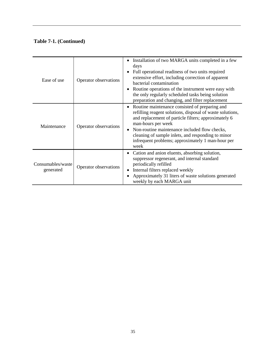## **Table 7-1. (Continued)**

| Ease of use                    | Operator observations | Installation of two MARGA units completed in a few<br>days<br>Full operational readiness of two units required<br>extensive effort, including correction of apparent<br>bacterial contamination<br>Routine operations of the instrument were easy with<br>the only regularly scheduled tasks being solution<br>preparation and changing, and filter replacement |
|--------------------------------|-----------------------|-----------------------------------------------------------------------------------------------------------------------------------------------------------------------------------------------------------------------------------------------------------------------------------------------------------------------------------------------------------------|
| Maintenance                    | Operator observations | Routine maintenance consisted of preparing and<br>refilling reagent solutions, disposal of waste solutions,<br>and replacement of particle filters; approximately 6<br>man-hours per week<br>Non-routine maintenance included flow checks,<br>cleaning of sample inlets, and responding to minor<br>infrequent problems; approximately 1 man-hour per<br>week   |
| Consumables/waste<br>generated | Operator observations | Cation and anion eluents, absorbing solution,<br>suppressor regenerant, and internal standard<br>periodically refilled<br>Internal filters replaced weekly<br>Approximately 31 liters of waste solutions generated<br>weekly by each MARGA unit                                                                                                                 |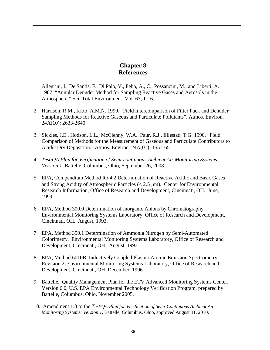# **Chapter 8 References**

- <span id="page-44-0"></span>1. Allegrini, I., De Santis, F., Di Palo, V., Febo, A., C., Possanzini, M., and Liberti, A. 1987. "Annular Denuder Method for Sampling Reactive Gases and Aerosols in the Atmosphere." Sci. Total Environment. Vol. 67, 1-16.
- 2. Harrison, R.M., Kitto, A.M.N. 1990. "Field Intercomparison of Filter Pack and Denuder Sampling Methods for Reactive Gaseous and Particulate Pollutants", Atmos. Environ. 24A(10): 2633-2640.
- 3. Sickles, J.E., Hodson, L.L., McClenny, W.A., Paur, R.J., Ellestad, T.G. 1990. "Field Comparison of Methods for the Measurement of Gaseous and Particulate Contributors to Acidic Dry Deposition." Atmos. Environ. 24A(01): 155-165.
- 4. *Test/QA Plan for Verification of Semi-continuous Ambient Air Monitoring Systems: Version 1,* Battelle, Columbus, Ohio, September 26, 2008.
- 5. EPA, Compendium Method IO-4.2 Determination of Reactive Acidic and Basic Gases and Strong Acidity of Atmospheric Particles ( $< 2.5 \mu$ m). Center for Environmental Research Information, Office of Research and Development, Cincinnati, OH. June, 1999.
- 6. EPA, Method 300.0 Determination of Inorganic Anions by Chromatography. Environmental Monitoring Systems Laboratory, Office of Research and Development, Cincinnati, OH. August, 1993.
- 7. EPA, Method 350.1 Determination of Ammonia Nitrogen by Semi-Automated Colorimetry. Environmental Monitoring Systems Laboratory, Office of Research and Development, Cincinnati, OH. August, 1993.
- 8. EPA, Method 6010B, Inductively Coupled Plasma-Atomic Emission Spectrometry, Revision 2, Environmental Monitoring Systems Laboratory, Office of Research and Development, Cincinnati, OH. December, 1996.
- 9. Battelle, Quality Management Plan for the ETV Advanced Monitoring Systems Center, Version 6.0, U.S. EPA Environmental Technology Verification Program, prepared by Battelle, Columbus, Ohio, November 2005.
- 10. Amendment 1.0 to the *Test/QA Plan for Verification of Semi-Continuous Ambient Air Monitoring Systems: Version 1*, Battelle, Columbus, Ohio, approved August 31, 2010.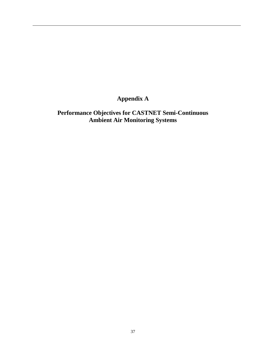# <span id="page-45-0"></span>**Appendix A**

# **Performance Objectives for CASTNET Semi-Continuous Ambient Air Monitoring Systems**